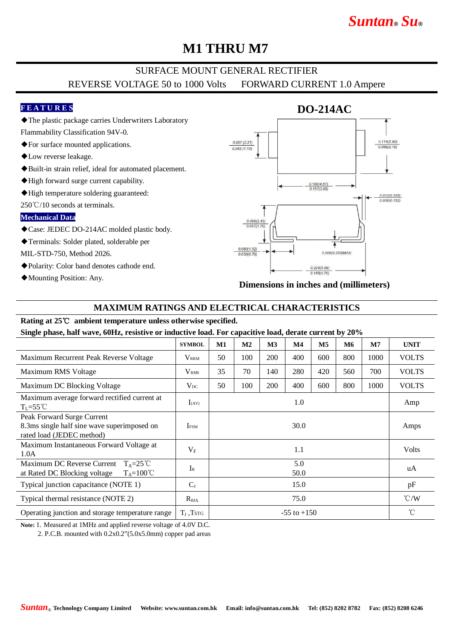# *Suntan***®** *Su***®**

## **M1 THRU M7**

## SURFACE MOUNT GENERAL RECTIFIER REVERSE VOLTAGE 50 to 1000 Volts FORWARD CURRENT 1.0 Ampere

#### **F E A T U R E S**

◆The plastic package carries Underwriters Laboratory

Flammability Classification 94V-0.

- ◆For surface mounted applications.
- ◆Low reverse leakage.
- ◆Built-in strain relief, ideal for automated placement.
- ◆High forward surge current capability.
- ◆High temperature soldering guaranteed:

250℃/10 seconds at terminals.

#### **Mechanical Data**

◆Case: JEDEC DO-214AC molded plastic body.

◆Terminals: Solder plated, solderable per

MIL-STD-750, Method 2026.

- ◆Polarity: Color band denotes cathode end.
- ◆Mounting Position: Any.



**Dimensions in inches and (millimeters)**

#### **MAXIMUM RATINGS AND ELECTRICAL CHARACTERISTICS**

# **Rating at 25**℃ **ambient temperature unless otherwise specified.**

**Single phase, half wave, 60Hz, resistive or inductive load. For capacitive load, derate current by 20%**

|                                                                                                             | <b>SYMBOL</b>           | M1              | M <sub>2</sub> | M <sub>3</sub> | $\mathbf{M}4$ | $\mathbf{M}5$ | M6  | M7   | <b>UNIT</b>     |
|-------------------------------------------------------------------------------------------------------------|-------------------------|-----------------|----------------|----------------|---------------|---------------|-----|------|-----------------|
| Maximum Recurrent Peak Reverse Voltage                                                                      | <b>V</b> <sub>RRM</sub> | 50              | 100            | 200            | 400           | 600           | 800 | 1000 | <b>VOLTS</b>    |
| Maximum RMS Voltage                                                                                         | <b>V</b> <sub>RMS</sub> | 35              | 70             | 140            | 280           | 420           | 560 | 700  | <b>VOLTS</b>    |
| Maximum DC Blocking Voltage                                                                                 | $V_{DC}$                | 50              | 100            | 200            | 400           | 600           | 800 | 1000 | <b>VOLTS</b>    |
| Maximum average forward rectified current at<br>$T_{I}$ =55°C                                               | $I_{(AV)}$              | 1.0             |                |                |               |               |     |      | Amp             |
| Peak Forward Surge Current<br>8.3ms single half sine wave superimposed on<br>rated load (JEDEC method)      | <b>IFSM</b>             | 30.0            |                |                |               |               |     |      | Amps            |
| Maximum Instantaneous Forward Voltage at<br>1.0A                                                            | $V_{F}$                 | 1.1             |                |                |               |               |     |      | <b>Volts</b>    |
| Maximum DC Reverse Current<br>$T_{A} = 25^{\circ}C$<br>at Rated DC Blocking voltage<br>$T_A = 100^{\circ}C$ | $I_{R}$                 | 5.0<br>50.0     |                |                |               |               |     |      | uA              |
| Typical junction capacitance (NOTE 1)                                                                       | $C_{J}$                 | 15.0            |                |                |               |               |     |      | pF              |
| Typical thermal resistance (NOTE 2)                                                                         | $R_{\theta JA}$         | 75.0            |                |                |               |               |     |      | $\mathcal{C}/W$ |
| Operating junction and storage temperature range                                                            | $T_I$ , $TSTG$          | $-55$ to $+150$ |                |                |               |               |     |      | $^{\circ}$ C    |

**Note:** 1. Measured at 1MHz and applied reverse voltage of 4.0V D.C.

2. P.C.B. mounted with 0.2x0.2"(5.0x5.0mm) copper pad areas